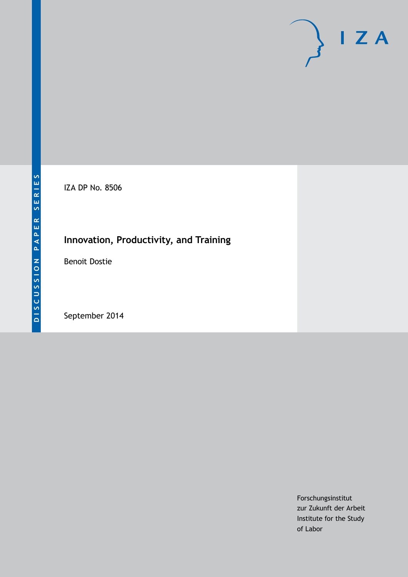# $\mathsf{I}$  Z A

IZA DP No. 8506

## **Innovation, Productivity, and Training**

Benoit Dostie

September 2014

Forschungsinstitut zur Zukunft der Arbeit Institute for the Study of Labor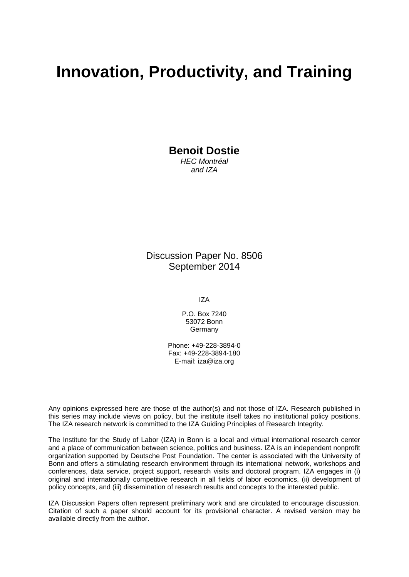# **Innovation, Productivity, and Training**

**Benoit Dostie**

*HEC Montréal and IZA*

Discussion Paper No. 8506 September 2014

IZA

P.O. Box 7240 53072 Bonn Germany

Phone: +49-228-3894-0 Fax: +49-228-3894-180 E-mail: [iza@iza.org](mailto:iza@iza.org)

Any opinions expressed here are those of the author(s) and not those of IZA. Research published in this series may include views on policy, but the institute itself takes no institutional policy positions. The IZA research network is committed to the IZA Guiding Principles of Research Integrity.

The Institute for the Study of Labor (IZA) in Bonn is a local and virtual international research center and a place of communication between science, politics and business. IZA is an independent nonprofit organization supported by Deutsche Post Foundation. The center is associated with the University of Bonn and offers a stimulating research environment through its international network, workshops and conferences, data service, project support, research visits and doctoral program. IZA engages in (i) original and internationally competitive research in all fields of labor economics, (ii) development of policy concepts, and (iii) dissemination of research results and concepts to the interested public.

IZA Discussion Papers often represent preliminary work and are circulated to encourage discussion. Citation of such a paper should account for its provisional character. A revised version may be available directly from the author.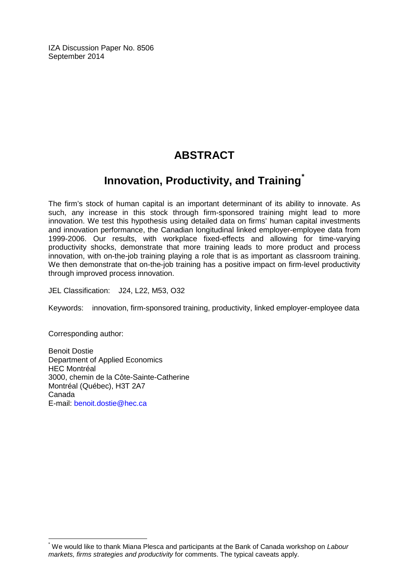IZA Discussion Paper No. 8506 September 2014

### **ABSTRACT**

# **Innovation, Productivity, and Training[\\*](#page-2-0)**

The firm's stock of human capital is an important determinant of its ability to innovate. As such, any increase in this stock through firm-sponsored training might lead to more innovation. We test this hypothesis using detailed data on firms' human capital investments and innovation performance, the Canadian longitudinal linked employer-employee data from 1999-2006. Our results, with workplace fixed-effects and allowing for time-varying productivity shocks, demonstrate that more training leads to more product and process innovation, with on-the-job training playing a role that is as important as classroom training. We then demonstrate that on-the-job training has a positive impact on firm-level productivity through improved process innovation.

JEL Classification: J24, L22, M53, O32

Keywords: innovation, firm-sponsored training, productivity, linked employer-employee data

Corresponding author:

Benoit Dostie Department of Applied Economics HEC Montréal 3000, chemin de la Côte-Sainte-Catherine Montréal (Québec), H3T 2A7 Canada E-mail: [benoit.dostie@hec.ca](mailto:benoit.dostie@hec.ca)

<span id="page-2-0"></span>\* We would like to thank Miana Plesca and participants at the Bank of Canada workshop on *Labour markets, firms strategies and productivity* for comments. The typical caveats apply.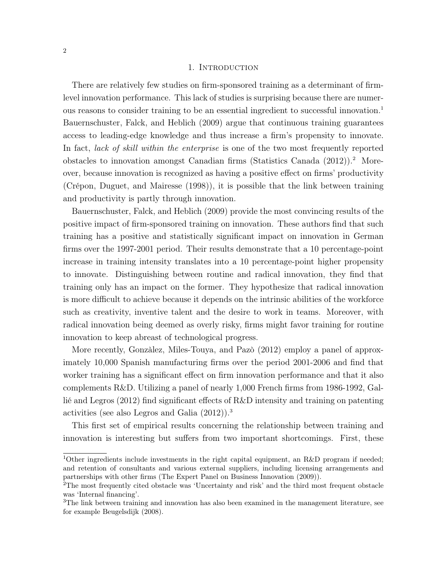#### 1. INTRODUCTION

There are relatively few studies on firm-sponsored training as a determinant of firmlevel innovation performance. This lack of studies is surprising because there are numerous reasons to consider training to be an essential ingredient to successful innovation.<sup>1</sup> Bauernschuster, Falck, and Heblich (2009) argue that continuous training guarantees access to leading-edge knowledge and thus increase a firm's propensity to innovate. In fact, lack of skill within the enterprise is one of the two most frequently reported obstacles to innovation amongst Canadian firms (Statistics Canada  $(2012)$ ).<sup>2</sup> Moreover, because innovation is recognized as having a positive effect on firms' productivity (Crépon, Duguet, and Mairesse (1998)), it is possible that the link between training and productivity is partly through innovation.

Bauernschuster, Falck, and Heblich (2009) provide the most convincing results of the positive impact of firm-sponsored training on innovation. These authors find that such training has a positive and statistically significant impact on innovation in German firms over the 1997-2001 period. Their results demonstrate that a 10 percentage-point increase in training intensity translates into a 10 percentage-point higher propensity to innovate. Distinguishing between routine and radical innovation, they find that training only has an impact on the former. They hypothesize that radical innovation is more difficult to achieve because it depends on the intrinsic abilities of the workforce such as creativity, inventive talent and the desire to work in teams. Moreover, with radical innovation being deemed as overly risky, firms might favor training for routine innovation to keep abreast of technological progress.

More recently, Gonzàlez, Miles-Touya, and Pazò (2012) employ a panel of approximately 10,000 Spanish manufacturing firms over the period 2001-2006 and find that worker training has a significant effect on firm innovation performance and that it also complements R&D. Utilizing a panel of nearly 1,000 French firms from 1986-1992, Gallié and Legros (2012) find significant effects of R&D intensity and training on patenting activities (see also Legros and Galia (2012)).<sup>3</sup>

This first set of empirical results concerning the relationship between training and innovation is interesting but suffers from two important shortcomings. First, these

<sup>&</sup>lt;sup>1</sup>Other ingredients include investments in the right capital equipment, an R&D program if needed; and retention of consultants and various external suppliers, including licensing arrangements and partnerships with other firms (The Expert Panel on Business Innovation (2009)).

<sup>2</sup>The most frequently cited obstacle was 'Uncertainty and risk' and the third most frequent obstacle was 'Internal financing'.

<sup>&</sup>lt;sup>3</sup>The link between training and innovation has also been examined in the management literature, see for example Beugelsdijk (2008).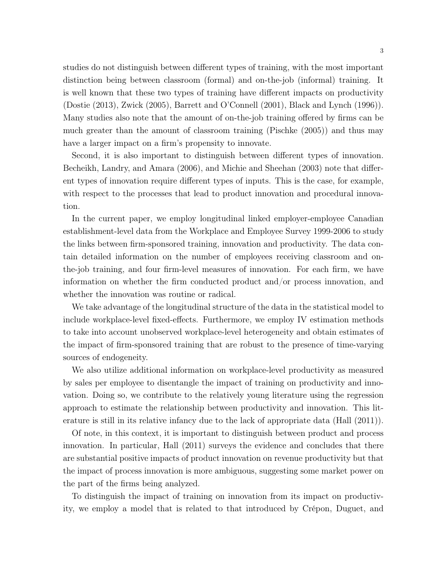studies do not distinguish between different types of training, with the most important distinction being between classroom (formal) and on-the-job (informal) training. It is well known that these two types of training have different impacts on productivity (Dostie (2013), Zwick (2005), Barrett and O'Connell (2001), Black and Lynch (1996)). Many studies also note that the amount of on-the-job training offered by firms can be much greater than the amount of classroom training (Pischke (2005)) and thus may have a larger impact on a firm's propensity to innovate.

Second, it is also important to distinguish between different types of innovation. Becheikh, Landry, and Amara (2006), and Michie and Sheehan (2003) note that different types of innovation require different types of inputs. This is the case, for example, with respect to the processes that lead to product innovation and procedural innovation.

In the current paper, we employ longitudinal linked employer-employee Canadian establishment-level data from the Workplace and Employee Survey 1999-2006 to study the links between firm-sponsored training, innovation and productivity. The data contain detailed information on the number of employees receiving classroom and onthe-job training, and four firm-level measures of innovation. For each firm, we have information on whether the firm conducted product and/or process innovation, and whether the innovation was routine or radical.

We take advantage of the longitudinal structure of the data in the statistical model to include workplace-level fixed-effects. Furthermore, we employ IV estimation methods to take into account unobserved workplace-level heterogeneity and obtain estimates of the impact of firm-sponsored training that are robust to the presence of time-varying sources of endogeneity.

We also utilize additional information on workplace-level productivity as measured by sales per employee to disentangle the impact of training on productivity and innovation. Doing so, we contribute to the relatively young literature using the regression approach to estimate the relationship between productivity and innovation. This literature is still in its relative infancy due to the lack of appropriate data (Hall (2011)).

Of note, in this context, it is important to distinguish between product and process innovation. In particular, Hall (2011) surveys the evidence and concludes that there are substantial positive impacts of product innovation on revenue productivity but that the impact of process innovation is more ambiguous, suggesting some market power on the part of the firms being analyzed.

To distinguish the impact of training on innovation from its impact on productivity, we employ a model that is related to that introduced by Crépon, Duguet, and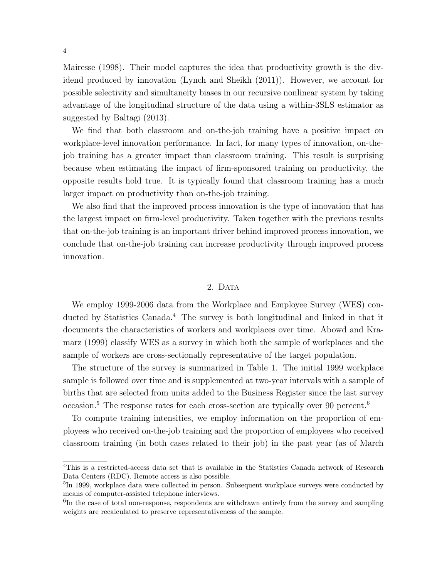Mairesse (1998). Their model captures the idea that productivity growth is the dividend produced by innovation (Lynch and Sheikh (2011)). However, we account for possible selectivity and simultaneity biases in our recursive nonlinear system by taking advantage of the longitudinal structure of the data using a within-3SLS estimator as suggested by Baltagi (2013).

We find that both classroom and on-the-job training have a positive impact on workplace-level innovation performance. In fact, for many types of innovation, on-thejob training has a greater impact than classroom training. This result is surprising because when estimating the impact of firm-sponsored training on productivity, the opposite results hold true. It is typically found that classroom training has a much larger impact on productivity than on-the-job training.

We also find that the improved process innovation is the type of innovation that has the largest impact on firm-level productivity. Taken together with the previous results that on-the-job training is an important driver behind improved process innovation, we conclude that on-the-job training can increase productivity through improved process innovation.

#### 2. DATA

We employ 1999-2006 data from the Workplace and Employee Survey (WES) conducted by Statistics Canada.<sup>4</sup> The survey is both longitudinal and linked in that it documents the characteristics of workers and workplaces over time. Abowd and Kramarz (1999) classify WES as a survey in which both the sample of workplaces and the sample of workers are cross-sectionally representative of the target population.

The structure of the survey is summarized in Table 1. The initial 1999 workplace sample is followed over time and is supplemented at two-year intervals with a sample of births that are selected from units added to the Business Register since the last survey occasion.<sup>5</sup> The response rates for each cross-section are typically over 90 percent.<sup>6</sup>

To compute training intensities, we employ information on the proportion of employees who received on-the-job training and the proportion of employees who received classroom training (in both cases related to their job) in the past year (as of March

<sup>4</sup>This is a restricted-access data set that is available in the Statistics Canada network of Research Data Centers (RDC). Remote access is also possible.

<sup>&</sup>lt;sup>5</sup>In 1999, workplace data were collected in person. Subsequent workplace surveys were conducted by means of computer-assisted telephone interviews.

 ${}^{6}$ In the case of total non-response, respondents are withdrawn entirely from the survey and sampling weights are recalculated to preserve representativeness of the sample.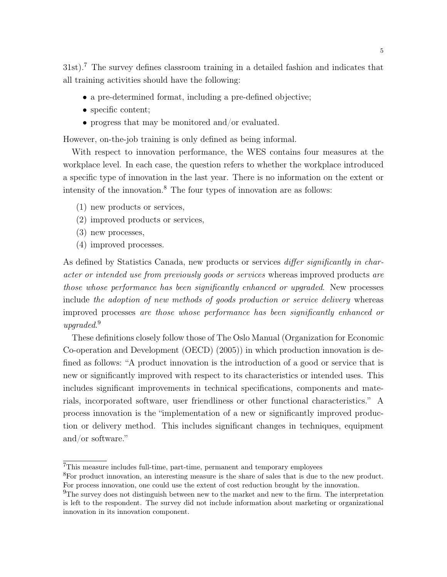31st).<sup>7</sup> The survey defines classroom training in a detailed fashion and indicates that all training activities should have the following:

- a pre-determined format, including a pre-defined objective;
- specific content;
- progress that may be monitored and/or evaluated.

However, on-the-job training is only defined as being informal.

With respect to innovation performance, the WES contains four measures at the workplace level. In each case, the question refers to whether the workplace introduced a specific type of innovation in the last year. There is no information on the extent or intensity of the innovation.<sup>8</sup> The four types of innovation are as follows:

- (1) new products or services,
- (2) improved products or services,
- (3) new processes,
- (4) improved processes.

As defined by Statistics Canada, new products or services *differ significantly in char*acter or intended use from previously goods or services whereas improved products are those whose performance has been significantly enhanced or upgraded. New processes include the adoption of new methods of goods production or service delivery whereas improved processes are those whose performance has been significantly enhanced or upgraded. 9

These definitions closely follow those of The Oslo Manual (Organization for Economic Co-operation and Development (OECD) (2005)) in which production innovation is defined as follows: "A product innovation is the introduction of a good or service that is new or significantly improved with respect to its characteristics or intended uses. This includes significant improvements in technical specifications, components and materials, incorporated software, user friendliness or other functional characteristics." A process innovation is the "implementation of a new or significantly improved production or delivery method. This includes significant changes in techniques, equipment and/or software."

<sup>7</sup>This measure includes full-time, part-time, permanent and temporary employees

<sup>8</sup>For product innovation, an interesting measure is the share of sales that is due to the new product. For process innovation, one could use the extent of cost reduction brought by the innovation.

<sup>&</sup>lt;sup>9</sup>The survey does not distinguish between new to the market and new to the firm. The interpretation is left to the respondent. The survey did not include information about marketing or organizational innovation in its innovation component.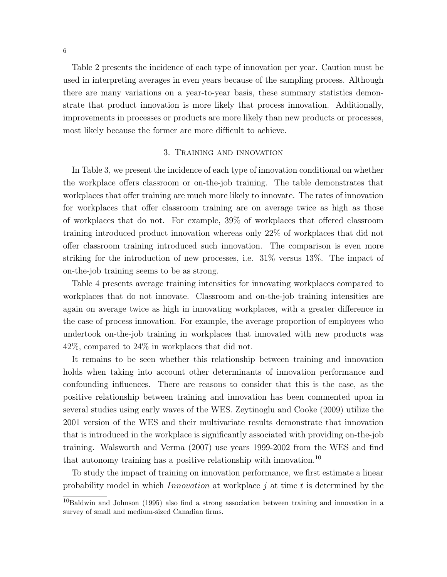Table 2 presents the incidence of each type of innovation per year. Caution must be used in interpreting averages in even years because of the sampling process. Although there are many variations on a year-to-year basis, these summary statistics demonstrate that product innovation is more likely that process innovation. Additionally, improvements in processes or products are more likely than new products or processes, most likely because the former are more difficult to achieve.

#### 3. Training and innovation

In Table 3, we present the incidence of each type of innovation conditional on whether the workplace offers classroom or on-the-job training. The table demonstrates that workplaces that offer training are much more likely to innovate. The rates of innovation for workplaces that offer classroom training are on average twice as high as those of workplaces that do not. For example, 39% of workplaces that offered classroom training introduced product innovation whereas only 22% of workplaces that did not offer classroom training introduced such innovation. The comparison is even more striking for the introduction of new processes, i.e. 31% versus 13%. The impact of on-the-job training seems to be as strong.

Table 4 presents average training intensities for innovating workplaces compared to workplaces that do not innovate. Classroom and on-the-job training intensities are again on average twice as high in innovating workplaces, with a greater difference in the case of process innovation. For example, the average proportion of employees who undertook on-the-job training in workplaces that innovated with new products was 42%, compared to 24% in workplaces that did not.

It remains to be seen whether this relationship between training and innovation holds when taking into account other determinants of innovation performance and confounding influences. There are reasons to consider that this is the case, as the positive relationship between training and innovation has been commented upon in several studies using early waves of the WES. Zeytinoglu and Cooke (2009) utilize the 2001 version of the WES and their multivariate results demonstrate that innovation that is introduced in the workplace is significantly associated with providing on-the-job training. Walsworth and Verma (2007) use years 1999-2002 from the WES and find that autonomy training has a positive relationship with innovation.<sup>10</sup>

To study the impact of training on innovation performance, we first estimate a linear probability model in which *Innovation* at workplace  $j$  at time  $t$  is determined by the

 $^{10}$ Baldwin and Johnson (1995) also find a strong association between training and innovation in a survey of small and medium-sized Canadian firms.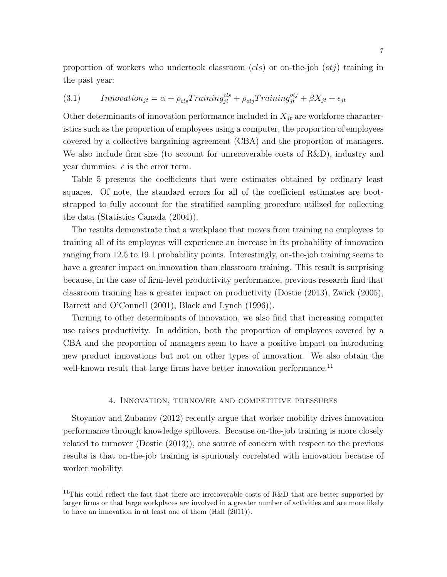proportion of workers who undertook classroom  $(cls)$  or on-the-job  $(otj)$  training in the past year:

(3.1) 
$$
In novation_{jt} = \alpha + \rho_{cls}Training_{jt}^{cls} + \rho_{otjTraining_{jt}^{obj} + \beta X_{jt} + \epsilon_{jt}
$$

Other determinants of innovation performance included in  $X_{jt}$  are workforce characteristics such as the proportion of employees using a computer, the proportion of employees covered by a collective bargaining agreement (CBA) and the proportion of managers. We also include firm size (to account for unrecoverable costs of R&D), industry and year dummies.  $\epsilon$  is the error term.

Table 5 presents the coefficients that were estimates obtained by ordinary least squares. Of note, the standard errors for all of the coefficient estimates are bootstrapped to fully account for the stratified sampling procedure utilized for collecting the data (Statistics Canada (2004)).

The results demonstrate that a workplace that moves from training no employees to training all of its employees will experience an increase in its probability of innovation ranging from 12.5 to 19.1 probability points. Interestingly, on-the-job training seems to have a greater impact on innovation than classroom training. This result is surprising because, in the case of firm-level productivity performance, previous research find that classroom training has a greater impact on productivity (Dostie (2013), Zwick (2005), Barrett and O'Connell (2001), Black and Lynch (1996)).

Turning to other determinants of innovation, we also find that increasing computer use raises productivity. In addition, both the proportion of employees covered by a CBA and the proportion of managers seem to have a positive impact on introducing new product innovations but not on other types of innovation. We also obtain the well-known result that large firms have better innovation performance.<sup>11</sup>

#### 4. Innovation, turnover and competitive pressures

Stoyanov and Zubanov (2012) recently argue that worker mobility drives innovation performance through knowledge spillovers. Because on-the-job training is more closely related to turnover (Dostie (2013)), one source of concern with respect to the previous results is that on-the-job training is spuriously correlated with innovation because of worker mobility.

<sup>&</sup>lt;sup>11</sup>This could reflect the fact that there are irrecoverable costs of R&D that are better supported by larger firms or that large workplaces are involved in a greater number of activities and are more likely to have an innovation in at least one of them (Hall (2011)).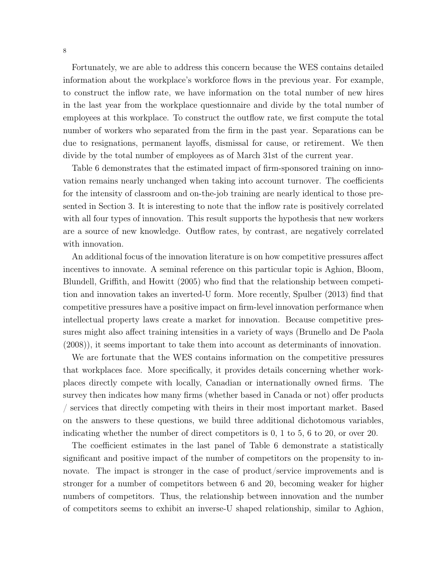Fortunately, we are able to address this concern because the WES contains detailed information about the workplace's workforce flows in the previous year. For example, to construct the inflow rate, we have information on the total number of new hires in the last year from the workplace questionnaire and divide by the total number of employees at this workplace. To construct the outflow rate, we first compute the total number of workers who separated from the firm in the past year. Separations can be due to resignations, permanent layoffs, dismissal for cause, or retirement. We then divide by the total number of employees as of March 31st of the current year.

Table 6 demonstrates that the estimated impact of firm-sponsored training on innovation remains nearly unchanged when taking into account turnover. The coefficients for the intensity of classroom and on-the-job training are nearly identical to those presented in Section 3. It is interesting to note that the inflow rate is positively correlated with all four types of innovation. This result supports the hypothesis that new workers are a source of new knowledge. Outflow rates, by contrast, are negatively correlated with innovation.

An additional focus of the innovation literature is on how competitive pressures affect incentives to innovate. A seminal reference on this particular topic is Aghion, Bloom, Blundell, Griffith, and Howitt (2005) who find that the relationship between competition and innovation takes an inverted-U form. More recently, Spulber (2013) find that competitive pressures have a positive impact on firm-level innovation performance when intellectual property laws create a market for innovation. Because competitive pressures might also affect training intensities in a variety of ways (Brunello and De Paola (2008)), it seems important to take them into account as determinants of innovation.

We are fortunate that the WES contains information on the competitive pressures that workplaces face. More specifically, it provides details concerning whether workplaces directly compete with locally, Canadian or internationally owned firms. The survey then indicates how many firms (whether based in Canada or not) offer products / services that directly competing with theirs in their most important market. Based on the answers to these questions, we build three additional dichotomous variables, indicating whether the number of direct competitors is 0, 1 to 5, 6 to 20, or over 20.

The coefficient estimates in the last panel of Table 6 demonstrate a statistically significant and positive impact of the number of competitors on the propensity to innovate. The impact is stronger in the case of product/service improvements and is stronger for a number of competitors between 6 and 20, becoming weaker for higher numbers of competitors. Thus, the relationship between innovation and the number of competitors seems to exhibit an inverse-U shaped relationship, similar to Aghion,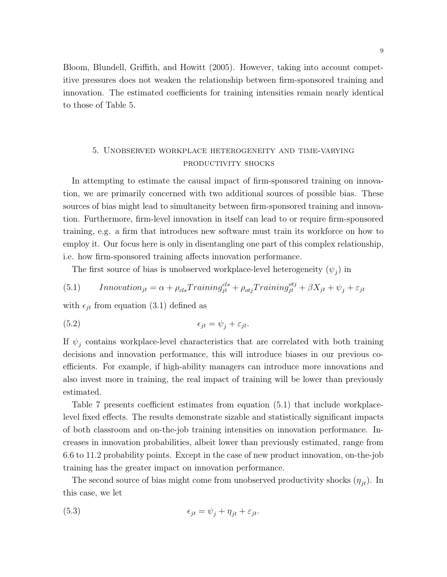Bloom, Blundell, Griffith, and Howitt (2005). However, taking into account competitive pressures does not weaken the relationship between firm-sponsored training and innovation. The estimated coefficients for training intensities remain nearly identical to those of Table 5.

#### 5. Unobserved workplace heterogeneity and time-varying productivity shocks

In attempting to estimate the causal impact of firm-sponsored training on innovation, we are primarily concerned with two additional sources of possible bias. These sources of bias might lead to simultaneity between firm-sponsored training and innovation. Furthermore, firm-level innovation in itself can lead to or require firm-sponsored training, e.g. a firm that introduces new software must train its workforce on how to employ it. Our focus here is only in disentangling one part of this complex relationship, i.e. how firm-sponsored training affects innovation performance.

The first source of bias is unobserved workplace-level heterogeneity  $(\psi_j)$  in

(5.1) *Innovation<sub>jt</sub>* = 
$$
\alpha + \rho_{cls}Training_{jt}^{cls} + \rho_{otj}Training_{jt}^{obj} + \beta X_{jt} + \psi_j + \varepsilon_{jt}
$$

with  $\epsilon_{jt}$  from equation (3.1) defined as

(5.2) 
$$
\epsilon_{jt} = \psi_j + \varepsilon_{jt}.
$$

If  $\psi_j$  contains workplace-level characteristics that are correlated with both training decisions and innovation performance, this will introduce biases in our previous coefficients. For example, if high-ability managers can introduce more innovations and also invest more in training, the real impact of training will be lower than previously estimated.

Table 7 presents coefficient estimates from equation (5.1) that include workplacelevel fixed effects. The results demonstrate sizable and statistically significant impacts of both classroom and on-the-job training intensities on innovation performance. Increases in innovation probabilities, albeit lower than previously estimated, range from 6.6 to 11.2 probability points. Except in the case of new product innovation, on-the-job training has the greater impact on innovation performance.

The second source of bias might come from unobserved productivity shocks  $(\eta_{jt})$ . In this case, we let

(5.3) 
$$
\epsilon_{jt} = \psi_j + \eta_{jt} + \varepsilon_{jt}.
$$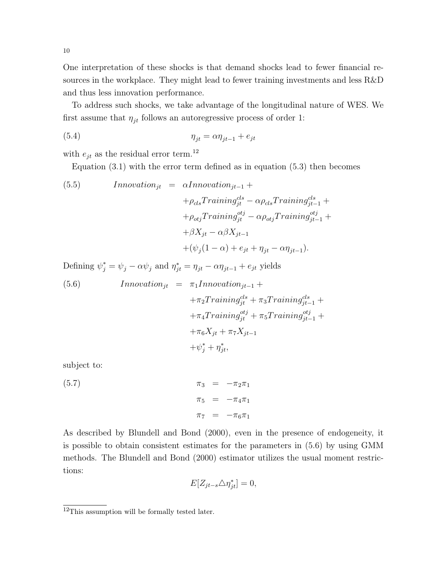One interpretation of these shocks is that demand shocks lead to fewer financial resources in the workplace. They might lead to fewer training investments and less R&D and thus less innovation performance.

To address such shocks, we take advantage of the longitudinal nature of WES. We first assume that  $\eta_{jt}$  follows an autoregressive process of order 1:

(5.4) 
$$
\eta_{jt} = \alpha \eta_{jt-1} + e_{jt}
$$

with  $e_{jt}$  as the residual error term.  $^{12}$ 

Equation  $(3.1)$  with the error term defined as in equation  $(5.3)$  then becomes

(5.5) *Innovation<sub>jt</sub>* = 
$$
\alpha Innovation_{jt-1}
$$
 +  
+ $\rho_{cls}Training_{jt}^{cls} - \alpha \rho_{cls}Training_{jt-1}^{cls} +$   
+ $\rho_{obj}Training_{jt}^{obj} - \alpha \rho_{obj}Training_{jt-1}^{obj} +$   
+ $\beta X_{jt} - \alpha \beta X_{jt-1}$   
+ $(\psi_j(1-\alpha) + e_{jt} + \eta_{jt} - \alpha \eta_{jt-1}).$ 

Defining  $\psi_j^* = \psi_j - \alpha \psi_j$  and  $\eta_{jt}^* = \eta_{jt} - \alpha \eta_{jt-1} + e_{jt}$  yields

(5.6) 
$$
In novation_{jt} = \pi_1 In novation_{jt-1} ++\pi_2 Training_{jt}^{cls} + \pi_3 Training_{jt-1}^{cls} ++\pi_4Training_{jt}^{obj} + \pi_5Training_{jt-1}^{obj} ++\pi_6 X_{jt} + \pi_7 X_{jt-1} ++\psi_j^* + \eta_{jt}^*,
$$

subject to:

(5.7) 
$$
\pi_3 = -\pi_2 \pi_1 \n\pi_5 = -\pi_4 \pi_1 \n\pi_7 = -\pi_6 \pi_1
$$

As described by Blundell and Bond (2000), even in the presence of endogeneity, it is possible to obtain consistent estimates for the parameters in (5.6) by using GMM methods. The Blundell and Bond (2000) estimator utilizes the usual moment restrictions:

$$
E[Z_{jt-s} \triangle \eta_{jt}^*] = 0,
$$

<sup>&</sup>lt;sup>12</sup>This assumption will be formally tested later.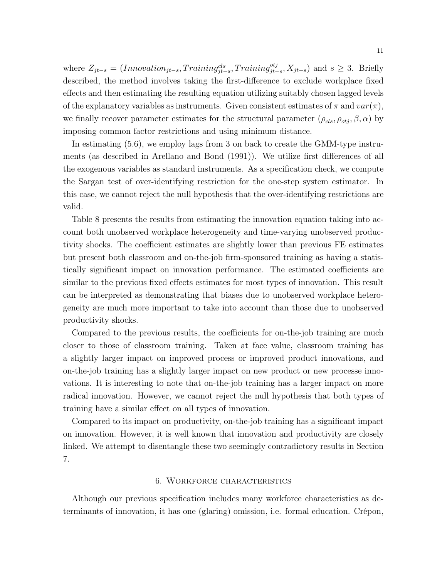where  $Z_{jt-s} = (Innovation_{jt-s}, Training_{jt-s}^{cls}, Training_{jt-s}^{obj}, X_{jt-s})$  and  $s \geq 3$ . Briefly described, the method involves taking the first-difference to exclude workplace fixed effects and then estimating the resulting equation utilizing suitably chosen lagged levels of the explanatory variables as instruments. Given consistent estimates of  $\pi$  and  $var(\pi)$ , we finally recover parameter estimates for the structural parameter  $(\rho_{cls}, \rho_{oti}, \beta, \alpha)$  by imposing common factor restrictions and using minimum distance.

In estimating (5.6), we employ lags from 3 on back to create the GMM-type instruments (as described in Arellano and Bond (1991)). We utilize first differences of all the exogenous variables as standard instruments. As a specification check, we compute the Sargan test of over-identifying restriction for the one-step system estimator. In this case, we cannot reject the null hypothesis that the over-identifying restrictions are valid.

Table 8 presents the results from estimating the innovation equation taking into account both unobserved workplace heterogeneity and time-varying unobserved productivity shocks. The coefficient estimates are slightly lower than previous FE estimates but present both classroom and on-the-job firm-sponsored training as having a statistically significant impact on innovation performance. The estimated coefficients are similar to the previous fixed effects estimates for most types of innovation. This result can be interpreted as demonstrating that biases due to unobserved workplace heterogeneity are much more important to take into account than those due to unobserved productivity shocks.

Compared to the previous results, the coefficients for on-the-job training are much closer to those of classroom training. Taken at face value, classroom training has a slightly larger impact on improved process or improved product innovations, and on-the-job training has a slightly larger impact on new product or new processe innovations. It is interesting to note that on-the-job training has a larger impact on more radical innovation. However, we cannot reject the null hypothesis that both types of training have a similar effect on all types of innovation.

Compared to its impact on productivity, on-the-job training has a significant impact on innovation. However, it is well known that innovation and productivity are closely linked. We attempt to disentangle these two seemingly contradictory results in Section 7.

#### 6. Workforce characteristics

Although our previous specification includes many workforce characteristics as determinants of innovation, it has one (glaring) omission, i.e. formal education. Crépon,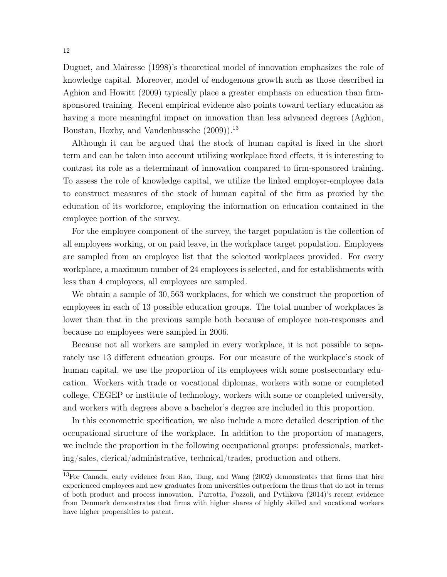Duguet, and Mairesse (1998)'s theoretical model of innovation emphasizes the role of knowledge capital. Moreover, model of endogenous growth such as those described in Aghion and Howitt (2009) typically place a greater emphasis on education than firmsponsored training. Recent empirical evidence also points toward tertiary education as having a more meaningful impact on innovation than less advanced degrees (Aghion, Boustan, Hoxby, and Vandenbussche (2009)).<sup>13</sup>

Although it can be argued that the stock of human capital is fixed in the short term and can be taken into account utilizing workplace fixed effects, it is interesting to contrast its role as a determinant of innovation compared to firm-sponsored training. To assess the role of knowledge capital, we utilize the linked employer-employee data to construct measures of the stock of human capital of the firm as proxied by the education of its workforce, employing the information on education contained in the employee portion of the survey.

For the employee component of the survey, the target population is the collection of all employees working, or on paid leave, in the workplace target population. Employees are sampled from an employee list that the selected workplaces provided. For every workplace, a maximum number of 24 employees is selected, and for establishments with less than 4 employees, all employees are sampled.

We obtain a sample of 30, 563 workplaces, for which we construct the proportion of employees in each of 13 possible education groups. The total number of workplaces is lower than that in the previous sample both because of employee non-responses and because no employees were sampled in 2006.

Because not all workers are sampled in every workplace, it is not possible to separately use 13 different education groups. For our measure of the workplace's stock of human capital, we use the proportion of its employees with some postsecondary education. Workers with trade or vocational diplomas, workers with some or completed college, CEGEP or institute of technology, workers with some or completed university, and workers with degrees above a bachelor's degree are included in this proportion.

In this econometric specification, we also include a more detailed description of the occupational structure of the workplace. In addition to the proportion of managers, we include the proportion in the following occupational groups: professionals, marketing/sales, clerical/administrative, technical/trades, production and others.

 $13$ For Canada, early evidence from Rao, Tang, and Wang (2002) demonstrates that firms that hire experienced employees and new graduates from universities outperform the firms that do not in terms of both product and process innovation. Parrotta, Pozzoli, and Pytlikova (2014)'s recent evidence from Denmark demonstrates that firms with higher shares of highly skilled and vocational workers have higher propensities to patent.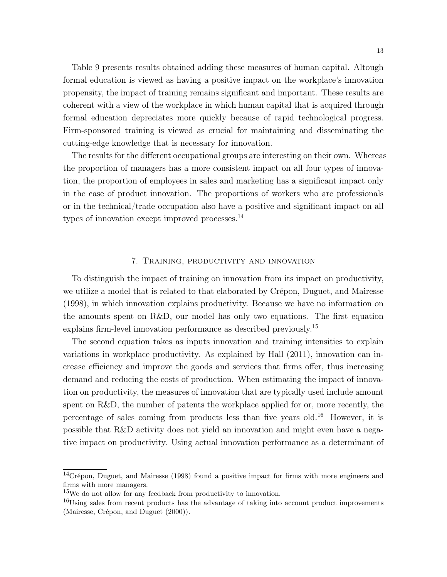Table 9 presents results obtained adding these measures of human capital. Altough formal education is viewed as having a positive impact on the workplace's innovation propensity, the impact of training remains significant and important. These results are coherent with a view of the workplace in which human capital that is acquired through formal education depreciates more quickly because of rapid technological progress. Firm-sponsored training is viewed as crucial for maintaining and disseminating the cutting-edge knowledge that is necessary for innovation.

The results for the different occupational groups are interesting on their own. Whereas the proportion of managers has a more consistent impact on all four types of innovation, the proportion of employees in sales and marketing has a significant impact only in the case of product innovation. The proportions of workers who are professionals or in the technical/trade occupation also have a positive and significant impact on all types of innovation except improved processes.<sup>14</sup>

#### 7. Training, productivity and innovation

To distinguish the impact of training on innovation from its impact on productivity, we utilize a model that is related to that elaborated by Crépon, Duguet, and Mairesse (1998), in which innovation explains productivity. Because we have no information on the amounts spent on R&D, our model has only two equations. The first equation explains firm-level innovation performance as described previously.<sup>15</sup>

The second equation takes as inputs innovation and training intensities to explain variations in workplace productivity. As explained by Hall (2011), innovation can increase efficiency and improve the goods and services that firms offer, thus increasing demand and reducing the costs of production. When estimating the impact of innovation on productivity, the measures of innovation that are typically used include amount spent on R&D, the number of patents the workplace applied for or, more recently, the percentage of sales coming from products less than five years old.<sup>16</sup> However, it is possible that R&D activity does not yield an innovation and might even have a negative impact on productivity. Using actual innovation performance as a determinant of

<sup>&</sup>lt;sup>14</sup>Crépon, Duguet, and Mairesse (1998) found a positive impact for firms with more engineers and firms with more managers.

<sup>15</sup>We do not allow for any feedback from productivity to innovation.

<sup>&</sup>lt;sup>16</sup>Using sales from recent products has the advantage of taking into account product improvements (Mairesse, Crépon, and Duguet (2000)).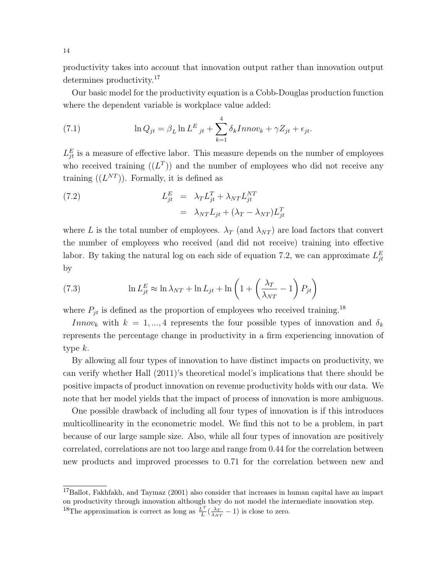productivity takes into account that innovation output rather than innovation output determines productivity.<sup>17</sup>

Our basic model for the productivity equation is a Cobb-Douglas production function where the dependent variable is workplace value added:

(7.1) 
$$
\ln Q_{jt} = \beta_L \ln L^E_{\ \ it} + \sum_{k=1}^4 \delta_k Innov_k + \gamma Z_{jt} + \epsilon_{jt}.
$$

 $L_{jt}^E$  is a measure of effective labor. This measure depends on the number of employees who received training  $((L^T))$  and the number of employees who did not receive any training  $((L^{NT}))$ . Formally, it is defined as

(7.2) 
$$
L_{jt}^{E} = \lambda_T L_{jt}^{T} + \lambda_{NT} L_{jt}^{NT}
$$

$$
= \lambda_{NT} L_{jt} + (\lambda_T - \lambda_{NT}) L_{jt}^{T}
$$

where L is the total number of employees.  $\lambda_T$  (and  $\lambda_{NT}$ ) are load factors that convert the number of employees who received (and did not receive) training into effective labor. By taking the natural log on each side of equation 7.2, we can approximate  $L_{jt}^E$ by

(7.3) 
$$
\ln L_{jt}^{E} \approx \ln \lambda_{NT} + \ln L_{jt} + \ln \left( 1 + \left( \frac{\lambda_T}{\lambda_{NT}} - 1 \right) P_{jt} \right)
$$

where  $P_{jt}$  is defined as the proportion of employees who received training.<sup>18</sup>

Innov<sub>k</sub> with  $k = 1, ..., 4$  represents the four possible types of innovation and  $\delta_k$ represents the percentage change in productivity in a firm experiencing innovation of type k.

By allowing all four types of innovation to have distinct impacts on productivity, we can verify whether Hall (2011)'s theoretical model's implications that there should be positive impacts of product innovation on revenue productivity holds with our data. We note that her model yields that the impact of process of innovation is more ambiguous.

One possible drawback of including all four types of innovation is if this introduces multicollinearity in the econometric model. We find this not to be a problem, in part because of our large sample size. Also, while all four types of innovation are positively correlated, correlations are not too large and range from 0.44 for the correlation between new products and improved processes to 0.71 for the correlation between new and

<sup>&</sup>lt;sup>17</sup>Ballot, Fakhfakh, and Taymaz (2001) also consider that increases in human capital have an impact on productivity through innovation although they do not model the intermediate innovation step. <sup>18</sup>The approximation is correct as long as  $\frac{L^7}{L}$  $\frac{L}{L} \left( \frac{\lambda_T}{\lambda_{NT}} - 1 \right)$  is close to zero.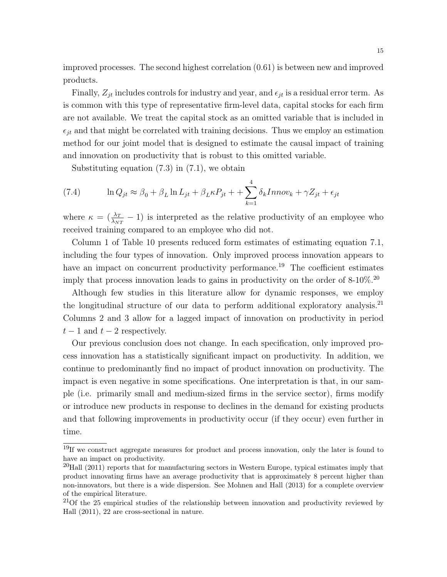improved processes. The second highest correlation (0.61) is between new and improved products.

Finally,  $Z_{it}$  includes controls for industry and year, and  $\epsilon_{it}$  is a residual error term. As is common with this type of representative firm-level data, capital stocks for each firm are not available. We treat the capital stock as an omitted variable that is included in  $\epsilon_{it}$  and that might be correlated with training decisions. Thus we employ an estimation method for our joint model that is designed to estimate the causal impact of training and innovation on productivity that is robust to this omitted variable.

Substituting equation  $(7.3)$  in  $(7.1)$ , we obtain

(7.4) 
$$
\ln Q_{jt} \approx \beta_0 + \beta_L \ln L_{jt} + \beta_L \kappa P_{jt} + \sum_{k=1}^4 \delta_k Innov_k + \gamma Z_{jt} + \epsilon_{jt}
$$

where  $\kappa = (\frac{\lambda_T}{\lambda_{NT}} - 1)$  is interpreted as the relative productivity of an employee who received training compared to an employee who did not.

Column 1 of Table 10 presents reduced form estimates of estimating equation 7.1, including the four types of innovation. Only improved process innovation appears to have an impact on concurrent productivity performance.<sup>19</sup> The coefficient estimates imply that process innovation leads to gains in productivity on the order of  $8\t{-}10\%$ .<sup>20</sup>

Although few studies in this literature allow for dynamic responses, we employ the longitudinal structure of our data to perform additional exploratory analysis.<sup>21</sup> Columns 2 and 3 allow for a lagged impact of innovation on productivity in period  $t-1$  and  $t-2$  respectively.

Our previous conclusion does not change. In each specification, only improved process innovation has a statistically significant impact on productivity. In addition, we continue to predominantly find no impact of product innovation on productivity. The impact is even negative in some specifications. One interpretation is that, in our sample (i.e. primarily small and medium-sized firms in the service sector), firms modify or introduce new products in response to declines in the demand for existing products and that following improvements in productivity occur (if they occur) even further in time.

<sup>&</sup>lt;sup>19</sup>If we construct aggregate measures for product and process innovation, only the later is found to have an impact on productivity.

 $^{20}$ Hall (2011) reports that for manufacturing sectors in Western Europe, typical estimates imply that product innovating firms have an average productivity that is approximately 8 percent higher than non-innovators, but there is a wide dispersion. See Mohnen and Hall (2013) for a complete overview of the empirical literature.

 $21$ Of the 25 empirical studies of the relationship between innovation and productivity reviewed by Hall (2011), 22 are cross-sectional in nature.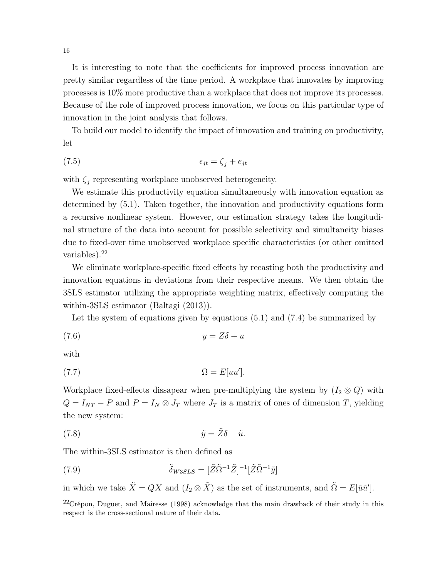It is interesting to note that the coefficients for improved process innovation are pretty similar regardless of the time period. A workplace that innovates by improving processes is 10% more productive than a workplace that does not improve its processes. Because of the role of improved process innovation, we focus on this particular type of innovation in the joint analysis that follows.

To build our model to identify the impact of innovation and training on productivity, let

$$
\epsilon_{jt} = \zeta_j + e_{jt}
$$

with  $\zeta_j$  representing workplace unobserved heterogeneity.

We estimate this productivity equation simultaneously with innovation equation as determined by (5.1). Taken together, the innovation and productivity equations form a recursive nonlinear system. However, our estimation strategy takes the longitudinal structure of the data into account for possible selectivity and simultaneity biases due to fixed-over time unobserved workplace specific characteristics (or other omitted variables).<sup>22</sup>

We eliminate workplace-specific fixed effects by recasting both the productivity and innovation equations in deviations from their respective means. We then obtain the 3SLS estimator utilizing the appropriate weighting matrix, effectively computing the within-3SLS estimator (Baltagi (2013)).

Let the system of equations given by equations (5.1) and (7.4) be summarized by

$$
(7.6) \t\t y = Z\delta + u
$$

with

$$
(7.7) \t\t \Omega = E[uu'].
$$

Workplace fixed-effects dissapear when pre-multiplying the system by  $(I_2 \otimes Q)$  with  $Q = I_{NT} - P$  and  $P = I_N \otimes J_T$  where  $J_T$  is a matrix of ones of dimension T, yielding the new system:

(7.8) 
$$
\tilde{y} = \tilde{Z}\delta + \tilde{u}.
$$

The within-3SLS estimator is then defined as

(7.9) 
$$
\tilde{\delta}_{W3SLS} = [\tilde{Z}\tilde{\Omega}^{-1}\tilde{Z}]^{-1}[\tilde{Z}\tilde{\Omega}^{-1}\tilde{y}]
$$

in which we take  $\tilde{X} = QX$  and  $(I_2 \otimes \tilde{X})$  as the set of instruments, and  $\tilde{\Omega} = E[\tilde{u}\tilde{u}']$ .

 $22C$ répon, Duguet, and Mairesse (1998) acknowledge that the main drawback of their study in this respect is the cross-sectional nature of their data.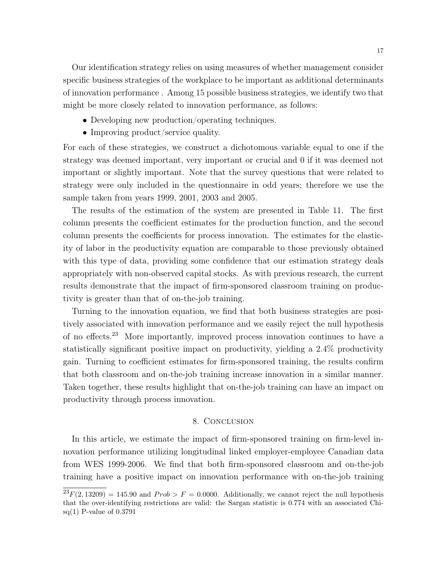Our identification strategy relies on using measures of whether management consider specific business strategies of the workplace to be important as additional determinants of innovation performance . Among 15 possible business strategies, we identify two that might be more closely related to innovation performance, as follows:

- Developing new production/operating techniques.
- Improving product/service quality.

For each of these strategies, we construct a dichotomous variable equal to one if the strategy was deemed important, very important or crucial and 0 if it was deemed not important or slightly important. Note that the survey questions that were related to strategy were only included in the questionnaire in odd years; therefore we use the sample taken from years 1999, 2001, 2003 and 2005.

The results of the estimation of the system are presented in Table 11. The first column presents the coefficient estimates for the production function, and the second column presents the coefficients for process innovation. The estimates for the elasticity of labor in the productivity equation are comparable to those previously obtained with this type of data, providing some confidence that our estimation strategy deals appropriately with non-observed capital stocks. As with previous research, the current results demonstrate that the impact of firm-sponsored classroom training on productivity is greater than that of on-the-job training.

Turning to the innovation equation, we find that both business strategies are positively associated with innovation performance and we easily reject the null hypothesis of no effects.<sup>23</sup> More importantly, improved process innovation continues to have a statistically significant positive impact on productivity, yielding a 2.4% productivity gain. Turning to coefficient estimates for firm-sponsored training, the results confirm that both classroom and on-the-job training increase innovation in a similar manner. Taken together, these results highlight that on-the-job training can have an impact on productivity through process innovation.

#### 8. Conclusion

In this article, we estimate the impact of firm-sponsored training on firm-level innovation performance utilizing longitudinal linked employer-employee Canadian data from WES 1999-2006. We find that both firm-sponsored classroom and on-the-job training have a positive impact on innovation performance with on-the-job training

 $^{23}F(2, 13209) = 145.90$  and  $Prob > F = 0.0000$ . Additionally, we cannot reject the null hypothesis that the over-identifying restrictions are valid: the Sargan statistic is 0.774 with an associated Chisq(1) P-value of 0.3791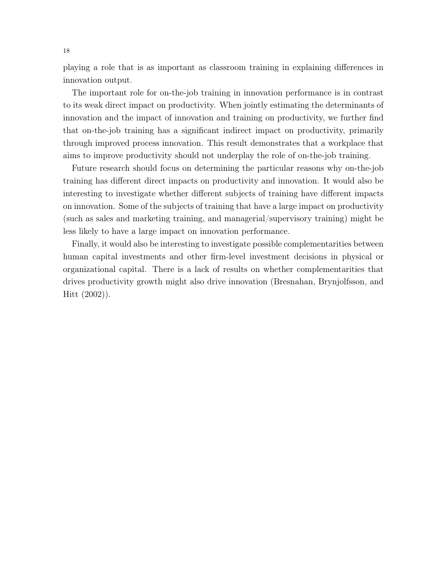playing a role that is as important as classroom training in explaining differences in innovation output.

The important role for on-the-job training in innovation performance is in contrast to its weak direct impact on productivity. When jointly estimating the determinants of innovation and the impact of innovation and training on productivity, we further find that on-the-job training has a significant indirect impact on productivity, primarily through improved process innovation. This result demonstrates that a workplace that aims to improve productivity should not underplay the role of on-the-job training.

Future research should focus on determining the particular reasons why on-the-job training has different direct impacts on productivity and innovation. It would also be interesting to investigate whether different subjects of training have different impacts on innovation. Some of the subjects of training that have a large impact on productivity (such as sales and marketing training, and managerial/supervisory training) might be less likely to have a large impact on innovation performance.

Finally, it would also be interesting to investigate possible complementarities between human capital investments and other firm-level investment decisions in physical or organizational capital. There is a lack of results on whether complementarities that drives productivity growth might also drive innovation (Bresnahan, Brynjolfsson, and Hitt (2002)).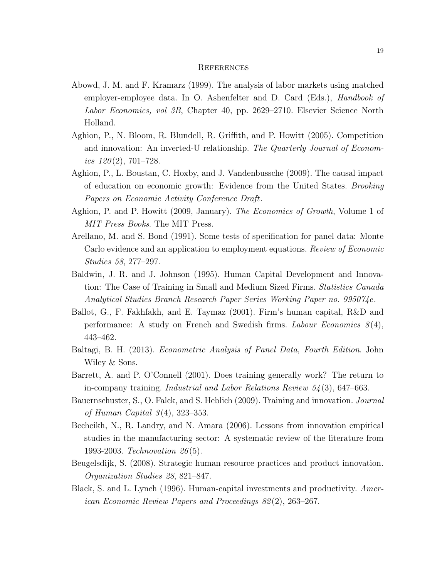#### **REFERENCES**

- Abowd, J. M. and F. Kramarz (1999). The analysis of labor markets using matched employer-employee data. In O. Ashenfelter and D. Card (Eds.), *Handbook of* Labor Economics, vol 3B, Chapter 40, pp. 2629–2710. Elsevier Science North Holland.
- Aghion, P., N. Bloom, R. Blundell, R. Griffith, and P. Howitt (2005). Competition and innovation: An inverted-U relationship. The Quarterly Journal of Economics  $120(2)$ , 701–728.
- Aghion, P., L. Boustan, C. Hoxby, and J. Vandenbussche (2009). The causal impact of education on economic growth: Evidence from the United States. Brooking Papers on Economic Activity Conference Draft.
- Aghion, P. and P. Howitt (2009, January). The Economics of Growth, Volume 1 of MIT Press Books. The MIT Press.
- Arellano, M. and S. Bond (1991). Some tests of specification for panel data: Monte Carlo evidence and an application to employment equations. Review of Economic Studies 58, 277–297.
- Baldwin, J. R. and J. Johnson (1995). Human Capital Development and Innovation: The Case of Training in Small and Medium Sized Firms. *Statistics Canada* Analytical Studies Branch Research Paper Series Working Paper no. 995074e .
- Ballot, G., F. Fakhfakh, and E. Taymaz (2001). Firm's human capital, R&D and performance: A study on French and Swedish firms. *Labour Economics*  $8(4)$ , 443–462.
- Baltagi, B. H. (2013). Econometric Analysis of Panel Data, Fourth Edition. John Wiley & Sons.
- Barrett, A. and P. O'Connell (2001). Does training generally work? The return to in-company training. *Industrial and Labor Relations Review*  $54(3)$ , 647–663.
- Bauernschuster, S., O. Falck, and S. Heblich (2009). Training and innovation. Journal of Human Capital  $3(4)$ , 323–353.
- Becheikh, N., R. Landry, and N. Amara (2006). Lessons from innovation empirical studies in the manufacturing sector: A systematic review of the literature from 1993-2003. Technovation 26 (5).
- Beugelsdijk, S. (2008). Strategic human resource practices and product innovation. Organization Studies 28, 821–847.
- Black, S. and L. Lynch (1996). Human-capital investments and productivity. American Economic Review Papers and Proceedings 82 (2), 263–267.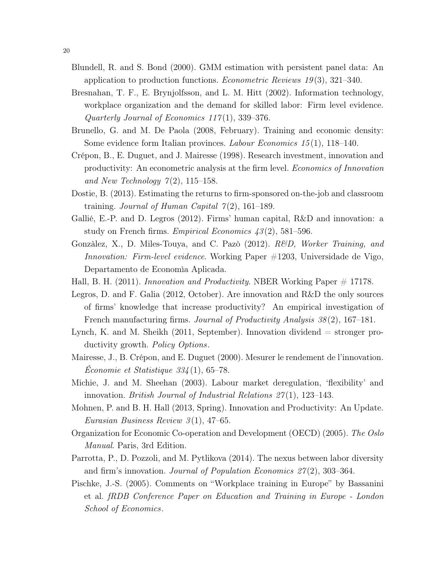- Blundell, R. and S. Bond (2000). GMM estimation with persistent panel data: An application to production functions. *Econometric Reviews 19*(3), 321–340.
- Bresnahan, T. F., E. Brynjolfsson, and L. M. Hitt (2002). Information technology, workplace organization and the demand for skilled labor: Firm level evidence. Quarterly Journal of Economics  $117(1)$ , 339-376.
- Brunello, G. and M. De Paola (2008, February). Training and economic density: Some evidence form Italian provinces. Labour Economics 15 (1), 118–140.
- Crépon, B., E. Duguet, and J. Mairesse (1998). Research investment, innovation and productivity: An econometric analysis at the firm level. Economics of Innovation and New Technology  $7(2)$ , 115–158.
- Dostie, B. (2013). Estimating the returns to firm-sponsored on-the-job and classroom training. Journal of Human Capital  $7(2)$ , 161–189.
- Gallié, E.-P. and D. Legros (2012). Firms' human capital, R&D and innovation: a study on French firms. Empirical Economics  $43(2)$ , 581–596.
- Gonzàlez, X., D. Miles-Touya, and C. Pazò (2012). *R&D, Worker Training, and* Innovation: Firm-level evidence. Working Paper #1203, Universidade de Vigo, Departamento de Economìa Aplicada.
- Hall, B. H. (2011). Innovation and Productivity. NBER Working Paper  $\#$  17178.
- Legros, D. and F. Galia (2012, October). Are innovation and R&D the only sources of firms' knowledge that increase productivity? An empirical investigation of French manufacturing firms. Journal of Productivity Analysis 38 (2), 167–181.
- Lynch, K. and M. Sheikh  $(2011, September)$ . Innovation dividend  $=$  stronger productivity growth. Policy Options.
- Mairesse, J., B. Crépon, and E. Duguet (2000). Mesurer le rendement de l'innovation. Économie et Statistique 334 (1), 65–78.
- Michie, J. and M. Sheehan (2003). Labour market deregulation, 'flexibility' and innovation. *British Journal of Industrial Relations 27(1)*, 123–143.
- Mohnen, P. and B. H. Hall (2013, Spring). Innovation and Productivity: An Update. Eurasian Business Review  $3(1)$ , 47–65.
- Organization for Economic Co-operation and Development (OECD) (2005). The Oslo Manual. Paris, 3rd Edition.
- Parrotta, P., D. Pozzoli, and M. Pytlikova (2014). The nexus between labor diversity and firm's innovation. Journal of Population Economics 27 (2), 303–364.
- Pischke, J.-S. (2005). Comments on "Workplace training in Europe" by Bassanini et al. fRDB Conference Paper on Education and Training in Europe - London School of Economics.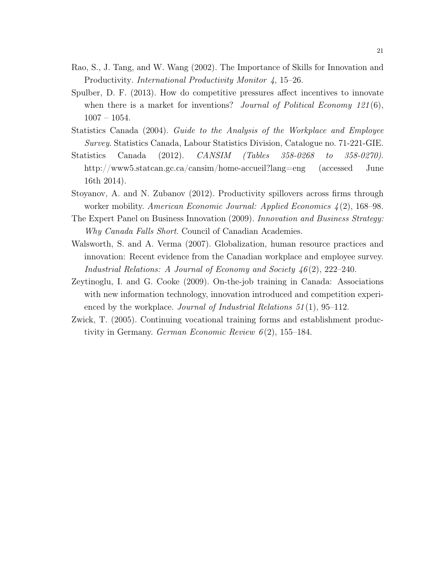- Rao, S., J. Tang, and W. Wang (2002). The Importance of Skills for Innovation and Productivity. *International Productivity Monitor 4*, 15–26.
- Spulber, D. F. (2013). How do competitive pressures affect incentives to innovate when there is a market for inventions? Journal of Political Economy  $121(6)$ , 1007 – 1054.
- Statistics Canada (2004). Guide to the Analysis of the Workplace and Employee Survey. Statistics Canada, Labour Statistics Division, Catalogue no. 71-221-GIE.
- Statistics Canada (2012). CANSIM (Tables 358-0268 to 358-0270). http://www5.statcan.gc.ca/cansim/home-accueil?lang=eng (accessed June 16th 2014).
- Stoyanov, A. and N. Zubanov (2012). Productivity spillovers across firms through worker mobility. American Economic Journal: Applied Economics 4 (2), 168–98.
- The Expert Panel on Business Innovation (2009). Innovation and Business Strategy: Why Canada Falls Short. Council of Canadian Academies.
- Walsworth, S. and A. Verma (2007). Globalization, human resource practices and innovation: Recent evidence from the Canadian workplace and employee survey. Industrial Relations: A Journal of Economy and Society 46 (2), 222–240.
- Zeytinoglu, I. and G. Cooke (2009). On-the-job training in Canada: Associations with new information technology, innovation introduced and competition experienced by the workplace. Journal of Industrial Relations  $51(1)$ , 95–112.
- Zwick, T. (2005). Continuing vocational training forms and establishment productivity in Germany. German Economic Review  $6(2)$ , 155–184.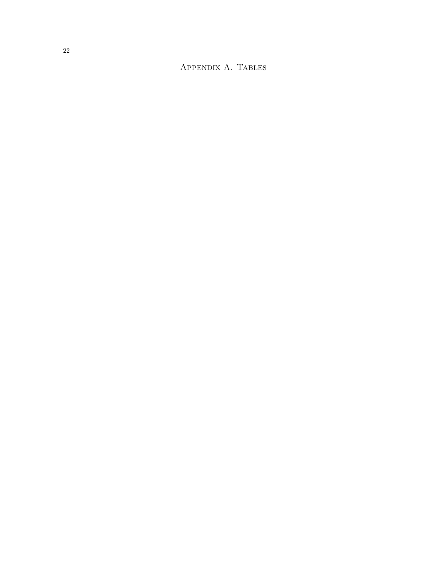Appendix A. Tables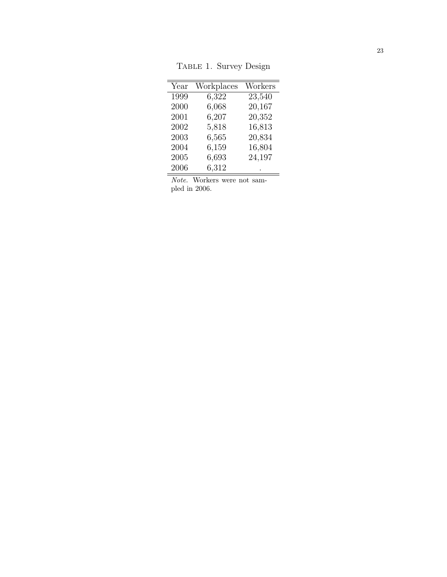| Year | Workplaces | Workers |
|------|------------|---------|
| 1999 | 6,322      | 23,540  |
| 2000 | 6,068      | 20,167  |
| 2001 | 6,207      | 20,352  |
| 2002 | 5,818      | 16,813  |
| 2003 | 6,565      | 20,834  |
| 2004 | 6,159      | 16,804  |
| 2005 | 6,693      | 24,197  |
| 2006 | 6,312      |         |

TABLE 1. Survey Design

Note. Workers were not sampled in 2006.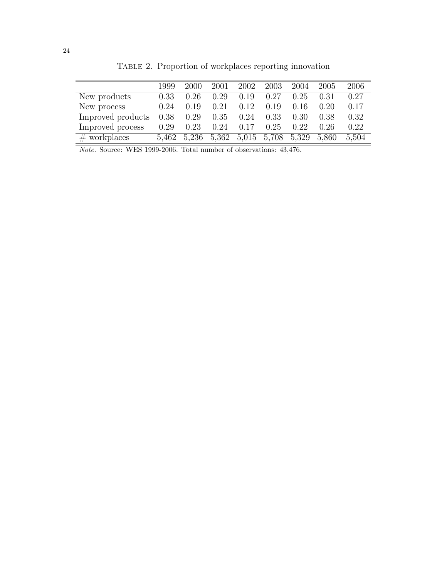|                   | 1999  | 2000  | 2001  | 2002 | 2003        | 2004  | 2005  | 2006  |
|-------------------|-------|-------|-------|------|-------------|-------|-------|-------|
| New products      | 0.33  | 0.26  | 0.29  | 0.19 | 0.27        | 0.25  | 0.31  | 0.27  |
| New process       | 0.24  | 0.19  | 0.21  | 0.12 | 0.19        | 0.16  | 0.20  | 0.17  |
| Improved products | 0.38  | 0.29  | 0.35  | 0.24 | 0.33        | 0.30  | 0.38  | 0.32  |
| Improved process  | 0.29  | 0.23  | 0.24  | 0.17 | 0.25        | 0.22  | 0.26  | 0.22  |
| $\#$ workplaces   | 5.462 | 5,236 | 5,362 |      | 5,015 5,708 | 5,329 | 5.860 | 5.504 |

TABLE 2. Proportion of workplaces reporting innovation

Note. Source: WES 1999-2006. Total number of observations: 43,476.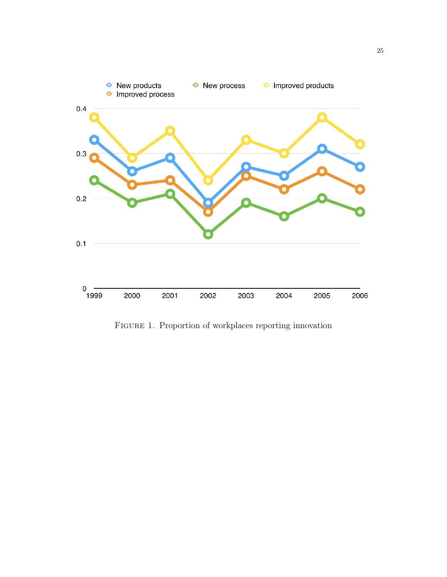

FIGURE 1. Proportion of workplaces reporting innovation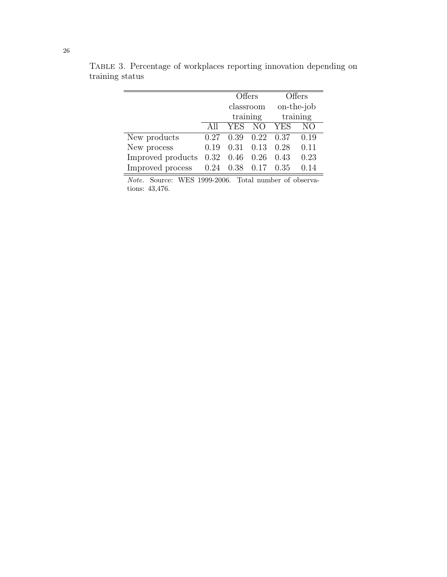|                   |      | Offers     |                 | Offers     |            |
|-------------------|------|------------|-----------------|------------|------------|
|                   |      | classroom  |                 |            | on-the-job |
|                   |      | training   |                 |            | training   |
|                   |      | <b>YES</b> | $\overline{NO}$ | <b>YES</b> | NΟ         |
| New products      | 0.27 | 0.39       | 0.22            | 0.37       | 0.19       |
| New process       | 0.19 | 0.31       | 0.13            | 0.28       | 0.11       |
| Improved products | 0.32 | 0.46       | 0.26            | 0.43       | 0.23       |
| Improved process  | 0.24 | 0.38       | 0.17            | 0.35       | በ 14       |

Table 3. Percentage of workplaces reporting innovation depending on training status

Note. Source: WES 1999-2006. Total number of observations: 43,476.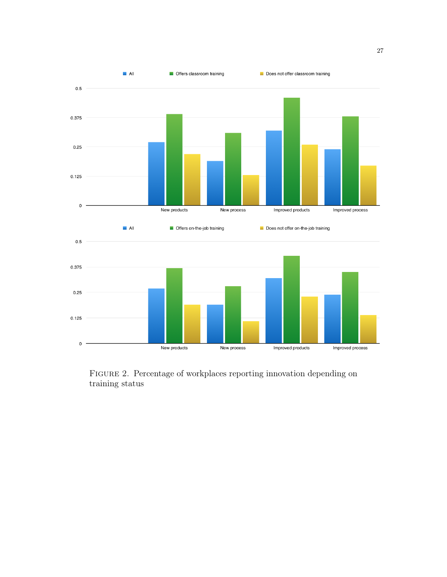

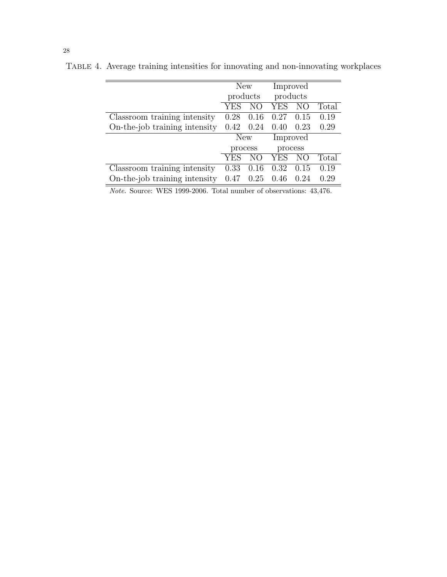|                               | New      |      | Improved   |                 |       |
|-------------------------------|----------|------|------------|-----------------|-------|
|                               | products |      | products   |                 |       |
|                               | YES      | NO   | YES        | NO <sub>1</sub> | Total |
| Classroom training intensity  | 0.28     | 0.16 | 0.27       | 0.15            | 0.19  |
| On-the-job training intensity | 0.42     | 0.24 | 0.40       | 0.23            | 0.29  |
|                               | New      |      | Improved   |                 |       |
|                               | process  |      | process    |                 |       |
|                               | YES      | NО   | <b>YES</b> | NO              | Total |
| Classroom training intensity  | 0.33     | 0.16 | 0.32       | 0.15            | 0.19  |
| On-the-job training intensity | 0.47     | 0.25 | 0.46       | 0.24            | 0.29  |

Table 4. Average training intensities for innovating and non-innovating workplaces

Note. Source: WES 1999-2006. Total number of observations: 43,476.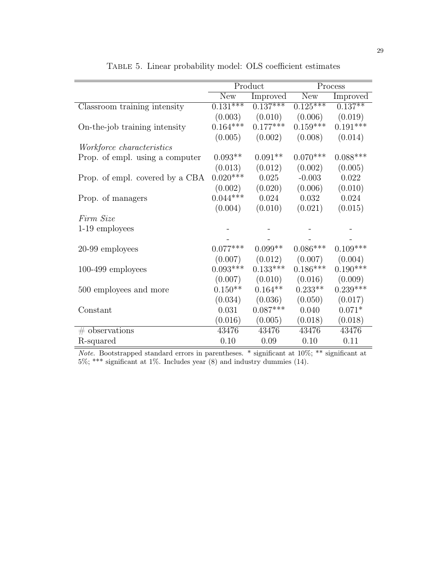|                                  |                       | Product    |            | Process    |
|----------------------------------|-----------------------|------------|------------|------------|
|                                  | New                   | Improved   | New        | Improved   |
| Classroom training intensity     | $0.\overline{131***}$ | $0.137***$ | $0.125***$ | $0.137***$ |
|                                  | (0.003)               | (0.010)    | (0.006)    | (0.019)    |
| On-the-job training intensity    | $0.164***$            | $0.177***$ | $0.159***$ | $0.191***$ |
|                                  | (0.005)               | (0.002)    | (0.008)    | (0.014)    |
| <i>Workforce characteristics</i> |                       |            |            |            |
| Prop. of empl. using a computer  | $0.093**$             | $0.091**$  | $0.070***$ | $0.088***$ |
|                                  | (0.013)               | (0.012)    | (0.002)    | (0.005)    |
| Prop. of empl. covered by a CBA  | $0.020***$            | 0.025      | $-0.003$   | 0.022      |
|                                  | (0.002)               | (0.020)    | (0.006)    | (0.010)    |
| Prop. of managers                | $0.044***$            | 0.024      | 0.032      | 0.024      |
|                                  | (0.004)               | (0.010)    | (0.021)    | (0.015)    |
| Firm Size                        |                       |            |            |            |
| 1-19 employees                   |                       |            |            |            |
|                                  |                       |            |            |            |
| 20-99 employees                  | $0.077***$            | $0.099**$  | $0.086***$ | $0.109***$ |
|                                  | (0.007)               | (0.012)    | (0.007)    | (0.004)    |
| $100-499$ employees              | $0.093***$            | $0.133***$ | $0.186***$ | $0.190***$ |
|                                  | (0.007)               | (0.010)    | (0.016)    | (0.009)    |
| 500 employees and more           | $0.150**$             | $0.164**$  | $0.233**$  | $0.239***$ |
|                                  | (0.034)               | (0.036)    | (0.050)    | (0.017)    |
| Constant                         | 0.031                 | $0.087***$ | 0.040      | $0.071*$   |
|                                  | (0.016)               | (0.005)    | (0.018)    | (0.018)    |
| $#$ observations                 | 43476                 | 43476      | 43476      | 43476      |
| R-squared                        | 0.10                  | 0.09       | 0.10       | 0.11       |

Table 5. Linear probability model: OLS coefficient estimates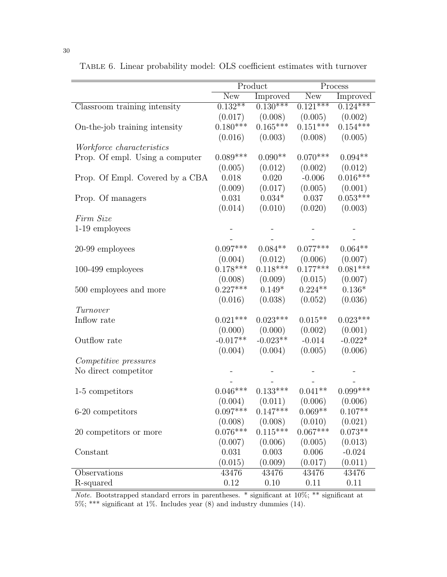|                                 | Product    |            | Process    |            |
|---------------------------------|------------|------------|------------|------------|
|                                 | New        | Improved   | New        | Improved   |
| Classroom training intensity    | $0.132**$  | $0.130***$ | $0.121***$ | $0.124***$ |
|                                 | (0.017)    | (0.008)    | (0.005)    | (0.002)    |
| On-the-job training intensity   | $0.180***$ | $0.165***$ | $0.151***$ | $0.154***$ |
|                                 | (0.016)    | (0.003)    | (0.008)    | (0.005)    |
| Workforce characteristics       |            |            |            |            |
| Prop. Of empl. Using a computer | $0.089***$ | $0.090**$  | $0.070***$ | $0.094**$  |
|                                 | (0.005)    | (0.012)    | (0.002)    | (0.012)    |
| Prop. Of Empl. Covered by a CBA | 0.018      | 0.020      | $-0.006$   | $0.016***$ |
|                                 | (0.009)    | (0.017)    | (0.005)    | (0.001)    |
| Prop. Of managers               | 0.031      | $0.034*$   | 0.037      | $0.053***$ |
|                                 | (0.014)    | (0.010)    | (0.020)    | (0.003)    |
| Firm Size                       |            |            |            |            |
| 1-19 employees                  |            |            |            |            |
|                                 |            |            |            |            |
| 20-99 employees                 | $0.097***$ | $0.084**$  | $0.077***$ | $0.064**$  |
|                                 | (0.004)    | (0.012)    | (0.006)    | (0.007)    |
| $100-499$ employees             | $0.178***$ | $0.118***$ | $0.177***$ | $0.081***$ |
|                                 | (0.008)    | (0.009)    | (0.015)    | (0.007)    |
| 500 employees and more          | $0.227***$ | $0.149*$   | $0.224**$  | $0.136*$   |
|                                 | (0.016)    | (0.038)    | (0.052)    | (0.036)    |
| Turnover                        |            |            |            |            |
| Inflow rate                     | $0.021***$ | $0.023***$ | $0.015**$  | $0.023***$ |
|                                 | (0.000)    | (0.000)    | (0.002)    | (0.001)    |
| Outflow rate                    | $-0.017**$ | $-0.023**$ | $-0.014$   | $-0.022*$  |
|                                 | (0.004)    | (0.004)    | (0.005)    | (0.006)    |
| Competitive pressures           |            |            |            |            |
| No direct competitor            |            |            |            |            |
|                                 |            |            |            |            |
| 1-5 competitors                 | $0.046***$ | $0.133***$ | $0.041**$  | $0.099***$ |
|                                 | (0.004)    | (0.011)    | (0.006)    | (0.006)    |
| 6-20 competitors                | $0.097***$ | $0.147***$ | $0.069**$  | $0.107**$  |
|                                 | (0.008)    | (0.008)    | (0.010)    | (0.021)    |
| 20 competitors or more          | $0.076***$ | $0.115***$ | $0.067***$ | $0.073**$  |
|                                 | (0.007)    | (0.006)    | (0.005)    | (0.013)    |
| Constant                        | 0.031      | 0.003      | 0.006      | $-0.024$   |
|                                 | (0.015)    | (0.009)    | (0.017)    | (0.011)    |
| Observations                    | 43476      | 43476      | 43476      | 43476      |
| R-squared                       | 0.12       | 0.10       | 0.11       | 0.11       |

Table 6. Linear probability model: OLS coefficient estimates with turnover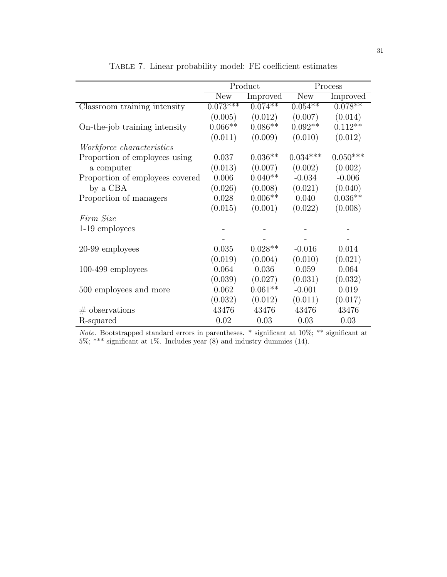|                                  |            | Product    |            | Process    |
|----------------------------------|------------|------------|------------|------------|
|                                  | New        | Improved   | <b>New</b> | Improved   |
| Classroom training intensity     | $0.073***$ | $0.074***$ | $0.054**$  | $0.078**$  |
|                                  | (0.005)    | (0.012)    | (0.007)    | (0.014)    |
| On-the-job training intensity    | $0.066**$  | $0.086**$  | $0.092**$  | $0.112**$  |
|                                  | (0.011)    | (0.009)    | (0.010)    | (0.012)    |
| <i>Workforce characteristics</i> |            |            |            |            |
| Proportion of employees using    | 0.037      | $0.036**$  | $0.034***$ | $0.050***$ |
| a computer                       | (0.013)    | (0.007)    | (0.002)    | (0.002)    |
| Proportion of employees covered  | 0.006      | $0.040**$  | $-0.034$   | $-0.006$   |
| by a CBA                         | (0.026)    | (0.008)    | (0.021)    | (0.040)    |
| Proportion of managers           | 0.028      | $0.006**$  | 0.040      | $0.036**$  |
|                                  | (0.015)    | (0.001)    | (0.022)    | (0.008)    |
| Firm Size                        |            |            |            |            |
| 1-19 employees                   |            |            |            |            |
|                                  |            |            |            |            |
| 20-99 employees                  | 0.035      | $0.028**$  | $-0.016$   | 0.014      |
|                                  | (0.019)    | (0.004)    | (0.010)    | (0.021)    |
| $100-499$ employees              | 0.064      | 0.036      | 0.059      | 0.064      |
|                                  | (0.039)    | (0.027)    | (0.031)    | (0.032)    |
| 500 employees and more           | 0.062      | $0.061**$  | $-0.001$   | 0.019      |
|                                  | (0.032)    | (0.012)    | (0.011)    | (0.017)    |
| $#$ observations                 | 43476      | 43476      | 43476      | 43476      |
| R-squared                        | 0.02       | 0.03       | 0.03       | 0.03       |

Table 7. Linear probability model: FE coefficient estimates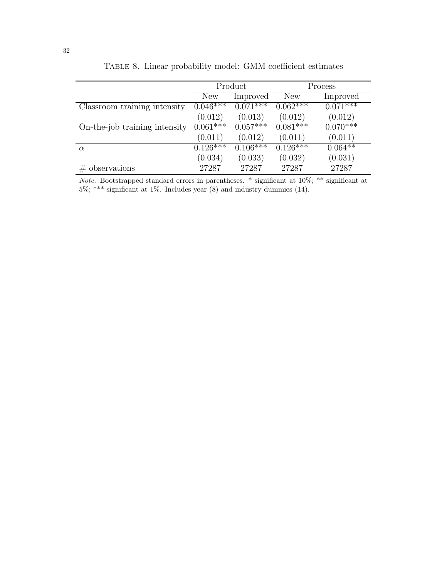|                               | Product               |            |            | Process    |
|-------------------------------|-----------------------|------------|------------|------------|
|                               | New                   | Improved   | New        | Improved   |
| Classroom training intensity  | $0.046***$            | $0.071***$ | $0.062***$ | $0.071***$ |
|                               | (0.012)               | (0.013)    | (0.012)    | (0.012)    |
| On-the-job training intensity | $0.061***$            | $0.057***$ | $0.081***$ | $0.070***$ |
|                               | (0.011)               | (0.012)    | (0.011)    | (0.011)    |
| $\alpha$                      | $0.12\overline{6***}$ | $0.106***$ | $0.126***$ | $0.064**$  |
|                               | (0.034)               | (0.033)    | (0.032)    | (0.031)    |
| observations                  | 27287                 | 27287      | 27287      | 27287      |

Table 8. Linear probability model: GMM coefficient estimates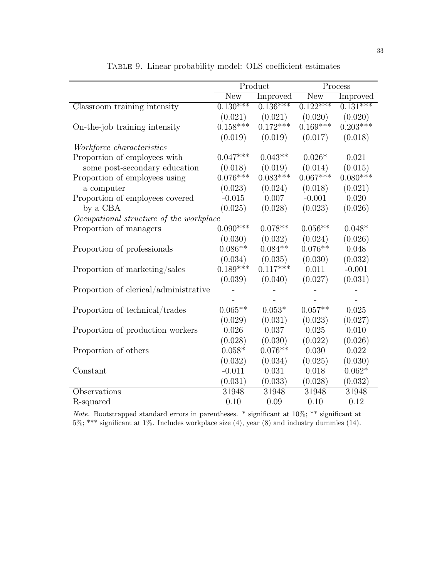|                                         |            | Product         |            | Process         |
|-----------------------------------------|------------|-----------------|------------|-----------------|
|                                         | <b>New</b> | <b>Improved</b> | <b>New</b> | <b>Improved</b> |
| Classroom training intensity            | $0.130***$ | $0.136***$      | $0.122***$ | $0.131***$      |
|                                         | (0.021)    | (0.021)         | (0.020)    | (0.020)         |
| On-the-job training intensity           | $0.158***$ | $0.172***$      | $0.169***$ | $0.203***$      |
|                                         | (0.019)    | (0.019)         | (0.017)    | (0.018)         |
| Workforce characteristics               |            |                 |            |                 |
| Proportion of employees with            | $0.047***$ | $0.043**$       | $0.026*$   | 0.021           |
| some post-secondary education           | (0.018)    | (0.019)         | (0.014)    | (0.015)         |
| Proportion of employees using           | $0.076***$ | $0.083***$      | $0.067***$ | $0.080***$      |
| a computer                              | (0.023)    | (0.024)         | (0.018)    | (0.021)         |
| Proportion of employees covered         | $-0.015$   | 0.007           | $-0.001$   | 0.020           |
| by a CBA                                | (0.025)    | (0.028)         | (0.023)    | (0.026)         |
| Occupational structure of the workplace |            |                 |            |                 |
| Proportion of managers                  | $0.090***$ | $0.078**$       | $0.056**$  | $0.048*$        |
|                                         | (0.030)    | (0.032)         | (0.024)    | (0.026)         |
| Proportion of professionals             | $0.086**$  | $0.084**$       | $0.076**$  | 0.048           |
|                                         | (0.034)    | (0.035)         | (0.030)    | (0.032)         |
| Proportion of marketing/sales           | $0.189***$ | $0.117***$      | 0.011      | $-0.001$        |
|                                         | (0.039)    | (0.040)         | (0.027)    | (0.031)         |
| Proportion of clerical/administrative   |            |                 |            |                 |
|                                         |            |                 |            |                 |
| Proportion of technical/trades          | $0.065**$  | $0.053*$        | $0.057**$  | 0.025           |
|                                         | (0.029)    | (0.031)         | (0.023)    | (0.027)         |
| Proportion of production workers        | 0.026      | 0.037           | 0.025      | 0.010           |
|                                         | (0.028)    | (0.030)         | (0.022)    | (0.026)         |
| Proportion of others                    | $0.058*$   | $0.076**$       | 0.030      | 0.022           |
|                                         | (0.032)    | (0.034)         | (0.025)    | (0.030)         |
| Constant                                | $-0.011$   | 0.031           | 0.018      | $0.062*$        |
|                                         | (0.031)    | (0.033)         | (0.028)    | (0.032)         |
| Observations                            | 31948      | 31948           | 31948      | 31948           |
| R-squared                               | 0.10       | 0.09            | 0.10       | 0.12            |

Table 9. Linear probability model: OLS coefficient estimates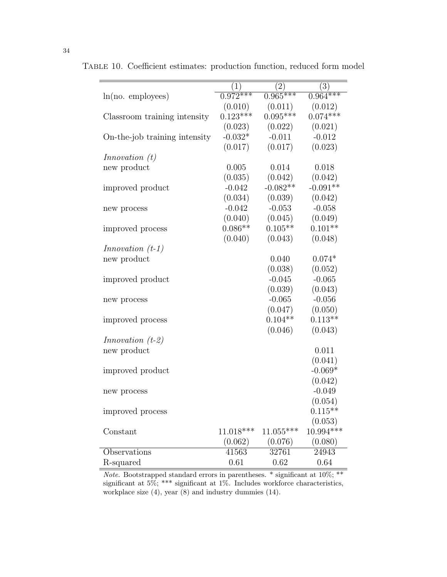|                               | (1)                   | (2)         | (3)         |
|-------------------------------|-----------------------|-------------|-------------|
| $ln(no.$ employees)           | $0.\overline{972***}$ | $0.965***$  | $0.964***$  |
|                               | (0.010)               | (0.011)     | (0.012)     |
| Classroom training intensity  | $0.123***$            | $0.095***$  | $0.074***$  |
|                               | (0.023)               | (0.022)     | (0.021)     |
| On-the-job training intensity | $-0.032*$             | $-0.011$    | $-0.012$    |
|                               | (0.017)               | (0.017)     | (0.023)     |
| In novation(t)                |                       |             |             |
| new product                   | 0.005                 | 0.014       | 0.018       |
|                               | (0.035)               | (0.042)     | (0.042)     |
| improved product              | $-0.042$              | $-0.082**$  | $-0.091**$  |
|                               | (0.034)               | (0.039)     | (0.042)     |
| new process                   | $-0.042$              | $-0.053$    | $-0.058$    |
|                               | (0.040)               | (0.045)     | (0.049)     |
| improved process              | $0.086**$             | $0.105**$   | $0.101**$   |
|                               | (0.040)               | (0.043)     | (0.048)     |
| $In novation$ (t-1)           |                       |             |             |
| new product                   |                       | 0.040       | $0.074*$    |
|                               |                       | (0.038)     | (0.052)     |
| improved product              |                       | $-0.045$    | $-0.065$    |
|                               |                       | (0.039)     | (0.043)     |
| new process                   |                       | $-0.065$    | $-0.056$    |
|                               |                       | (0.047)     | (0.050)     |
| improved process              |                       | $0.104**$   | $0.113**$   |
|                               |                       | (0.046)     | (0.043)     |
| <i>Innovation</i> $(t-2)$     |                       |             |             |
| new product                   |                       |             | 0.011       |
|                               |                       |             | (0.041)     |
| improved product              |                       |             | $-0.069*$   |
|                               |                       |             | (0.042)     |
| new process                   |                       |             | $-0.049$    |
|                               |                       |             | (0.054)     |
| improved process              |                       |             | $0.115**$   |
|                               |                       |             | (0.053)     |
| Constant                      | $11.018***$           | $11.055***$ | $10.994***$ |
|                               | (0.062)               | (0.076)     | (0.080)     |
| Observations                  | 41563                 | 32761       | 24943       |
| R-squared                     | 0.61                  | 0.62        | 0.64        |

Table 10. Coefficient estimates: production function, reduced form model

*Note.* Bootstrapped standard errors in parentheses. \* significant at  $10\%;$  \*\* significant at 5%; \*\*\* significant at 1%. Includes workforce characteristics, workplace size  $(4)$ , year  $(8)$  and industry dummies  $(14)$ .